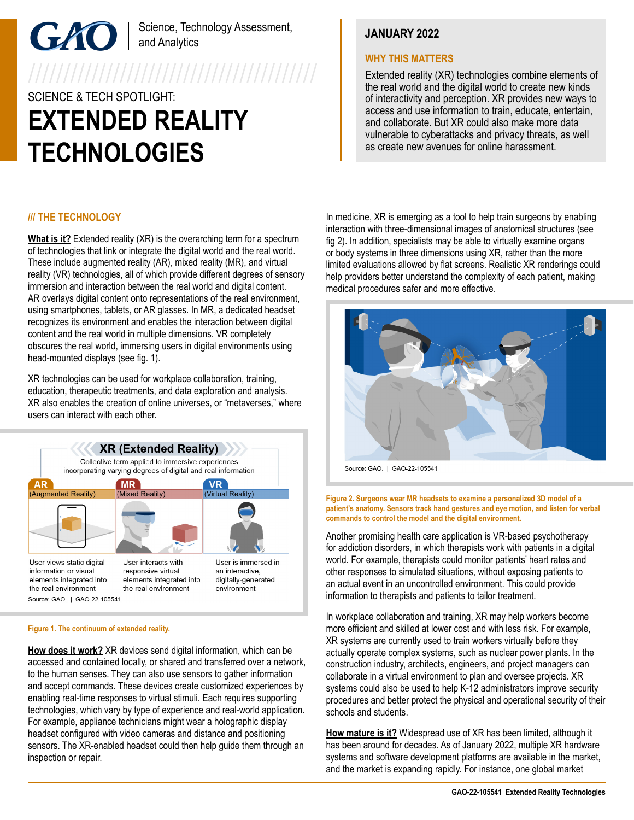# Science, Technology Assessment, and Analytics

# SCIENCE & TECH SPOTLIGHT: **EXTENDED REALITY TECHNOLOGIES**

# **JANUARY 2022**

### **WHY THIS MATTERS**

Extended reality (XR) technologies combine elements of the real world and the digital world to create new kinds of interactivity and perception. XR provides new ways to access and use information to train, educate, entertain, and collaborate. But XR could also make more data vulnerable to cyberattacks and privacy threats, as well as create new avenues for online harassment.

## **/// THE TECHNOLOGY**

**What is it?** Extended reality (XR) is the overarching term for a spectrum of technologies that link or integrate the digital world and the real world. These include augmented reality (AR), mixed reality (MR), and virtual reality (VR) technologies, all of which provide different degrees of sensory immersion and interaction between the real world and digital content. AR overlays digital content onto representations of the real environment. using smartphones, tablets, or AR glasses. In MR, a dedicated headset recognizes its environment and enables the interaction between digital content and the real world in multiple dimensions. VR completely obscures the real world, immersing users in digital environments using head-mounted displays (see fig. 1).

XR technologies can be used for workplace collaboration, training, education, therapeutic treatments, and data exploration and analysis. XR also enables the creation of online universes, or "metaverses," where users can interact with each other.



#### **Figure 1. The continuum of extended reality.**

**How does it work?** XR devices send digital information, which can be accessed and contained locally, or shared and transferred over a network, to the human senses. They can also use sensors to gather information and accept commands. These devices create customized experiences by enabling real-time responses to virtual stimuli. Each requires supporting technologies, which vary by type of experience and real-world application. For example, appliance technicians might wear a holographic display headset configured with video cameras and distance and positioning sensors. The XR-enabled headset could then help guide them through an inspection or repair.

In medicine, XR is emerging as a tool to help train surgeons by enabling interaction with three-dimensional images of anatomical structures (see fig 2). In addition, specialists may be able to virtually examine organs or body systems in three dimensions using XR, rather than the more limited evaluations allowed by flat screens. Realistic XR renderings could help providers better understand the complexity of each patient, making medical procedures safer and more effective.



Source: GAO. | GAO-22-105541

**Figure 2. Surgeons wear MR headsets to examine a personalized 3D model of a patient's anatomy. Sensors track hand gestures and eye motion, and listen for verbal commands to control the model and the digital environment.**

Another promising health care application is VR-based psychotherapy for addiction disorders, in which therapists work with patients in a digital world. For example, therapists could monitor patients' heart rates and other responses to simulated situations, without exposing patients to an actual event in an uncontrolled environment. This could provide information to therapists and patients to tailor treatment.

In workplace collaboration and training, XR may help workers become more efficient and skilled at lower cost and with less risk. For example, XR systems are currently used to train workers virtually before they actually operate complex systems, such as nuclear power plants. In the construction industry, architects, engineers, and project managers can collaborate in a virtual environment to plan and oversee projects. XR systems could also be used to help K-12 administrators improve security procedures and better protect the physical and operational security of their schools and students.

**How mature is it?** Widespread use of XR has been limited, although it has been around for decades. As of January 2022, multiple XR hardware systems and software development platforms are available in the market, and the market is expanding rapidly. For instance, one global market